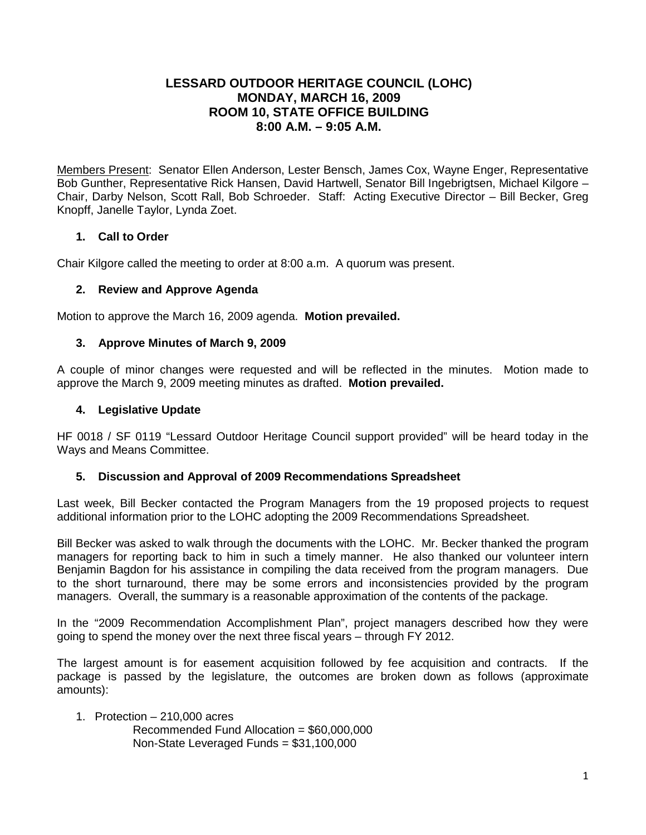# **LESSARD OUTDOOR HERITAGE COUNCIL (LOHC) MONDAY, MARCH 16, 2009 ROOM 10, STATE OFFICE BUILDING 8:00 A.M. – 9:05 A.M.**

Members Present: Senator Ellen Anderson, Lester Bensch, James Cox, Wayne Enger, Representative Bob Gunther, Representative Rick Hansen, David Hartwell, Senator Bill Ingebrigtsen, Michael Kilgore – Chair, Darby Nelson, Scott Rall, Bob Schroeder. Staff: Acting Executive Director – Bill Becker, Greg Knopff, Janelle Taylor, Lynda Zoet.

# **1. Call to Order**

Chair Kilgore called the meeting to order at 8:00 a.m. A quorum was present.

## **2. Review and Approve Agenda**

Motion to approve the March 16, 2009 agenda. **Motion prevailed.**

## **3. Approve Minutes of March 9, 2009**

A couple of minor changes were requested and will be reflected in the minutes. Motion made to approve the March 9, 2009 meeting minutes as drafted. **Motion prevailed.**

#### **4. Legislative Update**

HF 0018 / SF 0119 "Lessard Outdoor Heritage Council support provided" will be heard today in the Ways and Means Committee.

## **5. Discussion and Approval of 2009 Recommendations Spreadsheet**

Last week, Bill Becker contacted the Program Managers from the 19 proposed projects to request additional information prior to the LOHC adopting the 2009 Recommendations Spreadsheet.

Bill Becker was asked to walk through the documents with the LOHC. Mr. Becker thanked the program managers for reporting back to him in such a timely manner. He also thanked our volunteer intern Benjamin Bagdon for his assistance in compiling the data received from the program managers. Due to the short turnaround, there may be some errors and inconsistencies provided by the program managers. Overall, the summary is a reasonable approximation of the contents of the package.

In the "2009 Recommendation Accomplishment Plan", project managers described how they were going to spend the money over the next three fiscal years – through FY 2012.

The largest amount is for easement acquisition followed by fee acquisition and contracts. If the package is passed by the legislature, the outcomes are broken down as follows (approximate amounts):

- 1. Protection 210,000 acres
	- Recommended Fund Allocation = \$60,000,000 Non-State Leveraged Funds = \$31,100,000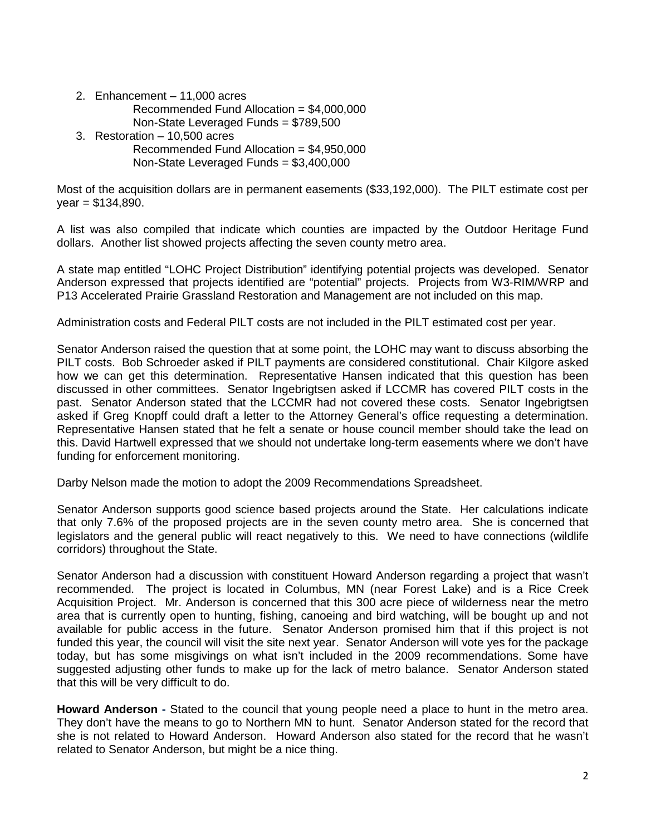- 2. Enhancement 11,000 acres
	- Recommended Fund Allocation = \$4,000,000
	- Non-State Leveraged Funds = \$789,500
- 3. Restoration 10,500 acres
	- Recommended Fund Allocation = \$4,950,000 Non-State Leveraged Funds = \$3,400,000

Most of the acquisition dollars are in permanent easements (\$33,192,000). The PILT estimate cost per  $year = $134,890.$ 

A list was also compiled that indicate which counties are impacted by the Outdoor Heritage Fund dollars. Another list showed projects affecting the seven county metro area.

A state map entitled "LOHC Project Distribution" identifying potential projects was developed. Senator Anderson expressed that projects identified are "potential" projects. Projects from W3-RIM/WRP and P13 Accelerated Prairie Grassland Restoration and Management are not included on this map.

Administration costs and Federal PILT costs are not included in the PILT estimated cost per year.

Senator Anderson raised the question that at some point, the LOHC may want to discuss absorbing the PILT costs. Bob Schroeder asked if PILT payments are considered constitutional. Chair Kilgore asked how we can get this determination. Representative Hansen indicated that this question has been discussed in other committees. Senator Ingebrigtsen asked if LCCMR has covered PILT costs in the past. Senator Anderson stated that the LCCMR had not covered these costs. Senator Ingebrigtsen asked if Greg Knopff could draft a letter to the Attorney General's office requesting a determination. Representative Hansen stated that he felt a senate or house council member should take the lead on this. David Hartwell expressed that we should not undertake long-term easements where we don't have funding for enforcement monitoring.

Darby Nelson made the motion to adopt the 2009 Recommendations Spreadsheet.

Senator Anderson supports good science based projects around the State. Her calculations indicate that only 7.6% of the proposed projects are in the seven county metro area. She is concerned that legislators and the general public will react negatively to this. We need to have connections (wildlife corridors) throughout the State.

Senator Anderson had a discussion with constituent Howard Anderson regarding a project that wasn't recommended. The project is located in Columbus, MN (near Forest Lake) and is a Rice Creek Acquisition Project. Mr. Anderson is concerned that this 300 acre piece of wilderness near the metro area that is currently open to hunting, fishing, canoeing and bird watching, will be bought up and not available for public access in the future. Senator Anderson promised him that if this project is not funded this year, the council will visit the site next year. Senator Anderson will vote yes for the package today, but has some misgivings on what isn't included in the 2009 recommendations. Some have suggested adjusting other funds to make up for the lack of metro balance. Senator Anderson stated that this will be very difficult to do.

**Howard Anderson -** Stated to the council that young people need a place to hunt in the metro area. They don't have the means to go to Northern MN to hunt. Senator Anderson stated for the record that she is not related to Howard Anderson. Howard Anderson also stated for the record that he wasn't related to Senator Anderson, but might be a nice thing.